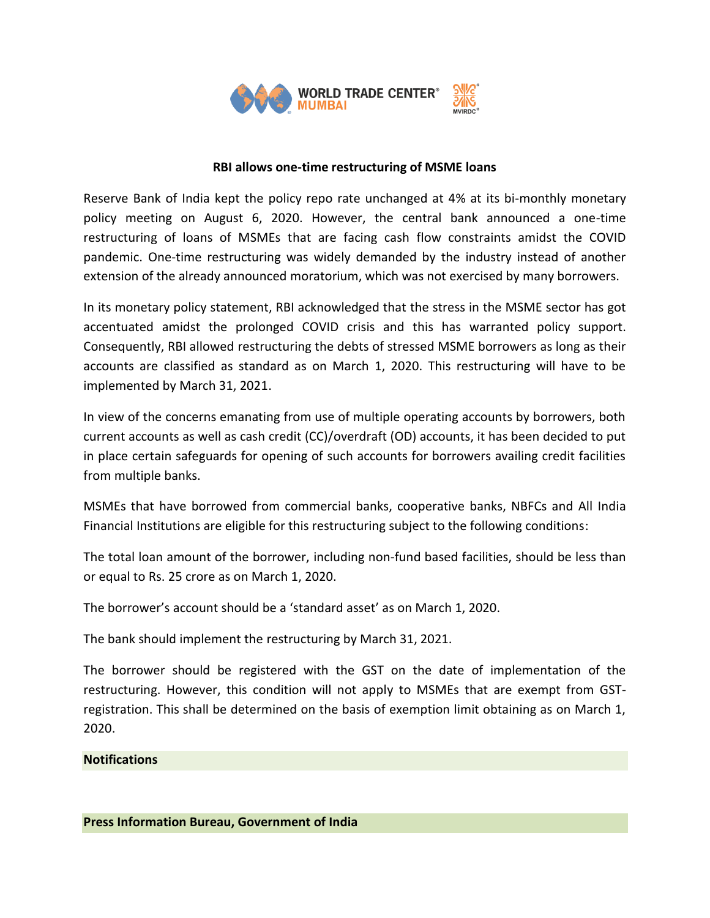

## **RBI allows one-time restructuring of MSME loans**

Reserve Bank of India kept the policy repo rate unchanged at 4% at its bi-monthly monetary policy meeting on August 6, 2020. However, the central bank announced a one-time restructuring of loans of MSMEs that are facing cash flow constraints amidst the COVID pandemic. One-time restructuring was widely demanded by the industry instead of another extension of the already announced moratorium, which was not exercised by many borrowers.

In its monetary policy statement, RBI acknowledged that the stress in the MSME sector has got accentuated amidst the prolonged COVID crisis and this has warranted policy support. Consequently, RBI allowed restructuring the debts of stressed MSME borrowers as long as their accounts are classified as standard as on March 1, 2020. This restructuring will have to be implemented by March 31, 2021.

In view of the concerns emanating from use of multiple operating accounts by borrowers, both current accounts as well as cash credit (CC)/overdraft (OD) accounts, it has been decided to put in place certain safeguards for opening of such accounts for borrowers availing credit facilities from multiple banks.

MSMEs that have borrowed from commercial banks, cooperative banks, NBFCs and All India Financial Institutions are eligible for this restructuring subject to the following conditions:

The total loan amount of the borrower, including non-fund based facilities, should be less than or equal to Rs. 25 crore as on March 1, 2020.

The borrower's account should be a 'standard asset' as on March 1, 2020.

The bank should implement the restructuring by March 31, 2021.

The borrower should be registered with the GST on the date of implementation of the restructuring. However, this condition will not apply to MSMEs that are exempt from GSTregistration. This shall be determined on the basis of exemption limit obtaining as on March 1, 2020.

## **Notifications**

**Press Information Bureau, Government of India**